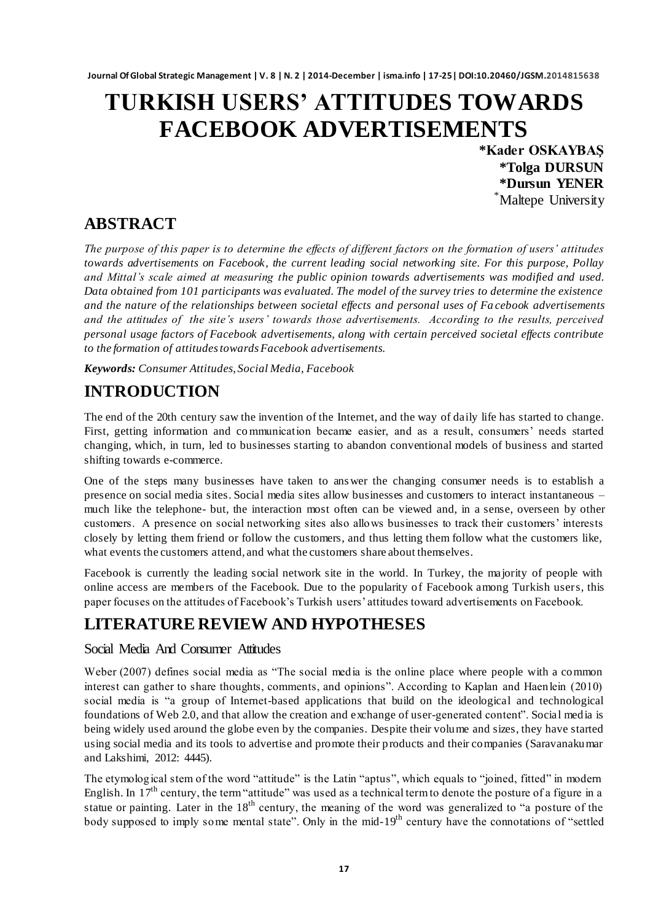# **TURKISH USERS' ATTITUDES TOWARDS FACEBOOK ADVERTISEMENTS**

**\*Kader OSKAYBAŞ \*Tolga DURSUN \*Dursun YENER** \*Maltepe University

### **ABSTRACT**

*The purpose of this paper is to determine the effects of different factors on the formation of users' attitudes towards advertisements on Facebook, the current leading social networking site. For this purpose, Pollay and Mittal's scale aimed at measuring the public opinion towards advertisements was modified and used. Data obtained from 101 participants was evaluated. The model of the survey tries to determine the existence and the nature of the relationships between societal effects and personal uses of Fa cebook advertisements and the attitudes of the site's users' towards those advertisements. According to the results, perceived personal usage factors of Facebook advertisements, along with certain perceived societal effects contribute to the formation of attitudes towards Facebook advertisements.* 

*Keywords: Consumer Attitudes, Social Media, Facebook*

# **INTRODUCTION**

The end of the 20th century saw the invention of the Internet, and the way of daily life has started to change. First, getting information and communication became easier, and as a result, consumers' needs started changing, which, in turn, led to businesses starting to abandon conventional models of business and started shifting towards e-commerce.

One of the steps many businesses have taken to answer the changing consumer needs is to establish a presence on social media sites. Social media sites allow businesses and customers to interact instantaneous – much like the telephone- but, the interaction most often can be viewed and, in a sense, overseen by other customers. A presence on social networking sites also allows businesses to track their customers" interests closely by letting them friend or follow the customers, and thus letting them follow what the customers like, what events the customers attend, and what the customers share about themselves.

Facebook is currently the leading social network site in the world. In Turkey, the majority of people with online access are members of the Facebook. Due to the popularity of Facebook among Turkish users, this paper focuses on the attitudes of Facebook"s Turkish users" attitudes toward advertisements on Facebook.

# **LITERATURE REVIEW AND HYPOTHESES**

#### Social Media And Consumer Attitudes

Weber (2007) defines social media as "The social media is the online place where people with a common interest can gather to share thoughts, comments, and opinions". According to Kaplan and Haenlein (2010) social media is "a group of Internet-based applications that build on the ideological and technological foundations of Web 2.0, and that allow the creation and exchange of user-generated content". Social media is being widely used around the globe even by the companies. Despite their volume and sizes, they have started using social media and its tools to advertise and promote their products and their companies (Saravanakumar and Lakshimi, 2012: 4445).

The etymological stem of the word "attitude" is the Latin "aptus", which equals to "joined, fitted" in modern English. In  $17<sup>th</sup>$  century, the term "attitude" was used as a technical term to denote the posture of a figure in a statue or painting. Later in the 18<sup>th</sup> century, the meaning of the word was generalized to "a posture of the body supposed to imply some mental state". Only in the mid-19<sup>th</sup> century have the connotations of "settled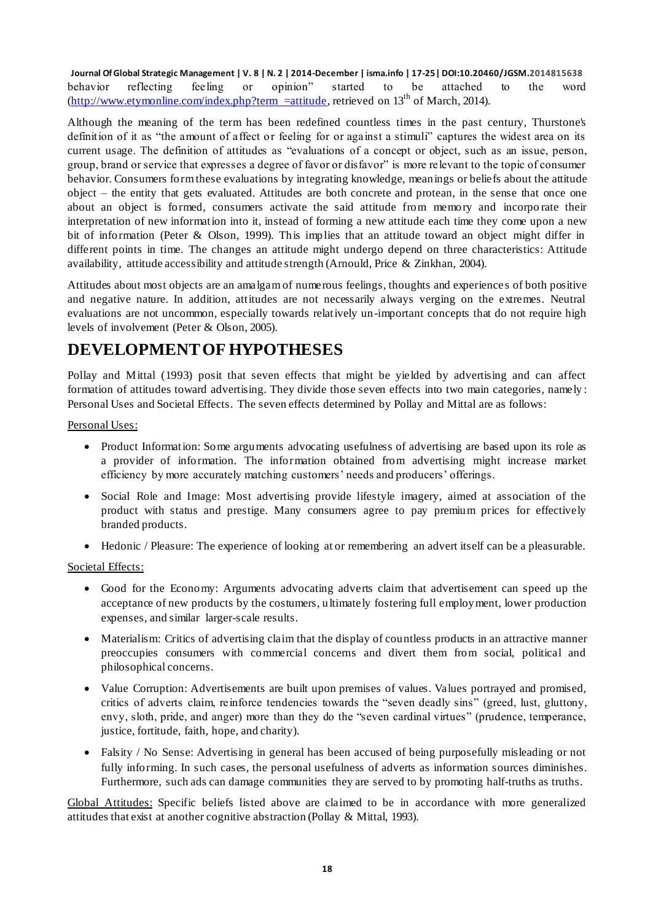**Journal Of Global Strategic Management | V. 8 | N. 2 | 2014-December | isma.info | 17-25| DOI:10.20460/JGSM.2014815638** behavior reflecting feeling or opinion" started to be attached to the word  $(\frac{http://www.etymonline.com/index.php?term =attribute}{http://www.etymonline.com/index.php?term =attribute}$ , retrieved on  $13<sup>th</sup>$  of March, 2014).

Although the meaning of the term has been redefined countless times in the past century, Thurstone's definition of it as "the amount of affect or feeling for or against a stimuli" captures the widest area on its current usage. The definition of attitudes as "evaluations of a concept or object, such as an issue, person, group, brand or service that expresses a degree of favor or disfavor" is more relevant to the topic of consumer behavior. Consumers form these evaluations by integrating knowledge, meanings or beliefs about the attitude object – the entity that gets evaluated. Attitudes are both concrete and protean, in the sense that once one about an object is formed, consumers activate the said attitude from memory and incorpo rate their interpretation of new information into it, instead of forming a new attitude each time they come upon a new bit of information (Peter & Olson, 1999). This implies that an attitude toward an object might differ in different points in time. The changes an attitude might undergo depend on three characteristics: Attitude availability, attitude accessibility and attitude strength (Arnould, Price & Zinkhan, 2004).

Attitudes about most objects are an amalgam of numerous feelings, thoughts and experience s of both positive and negative nature. In addition, attitudes are not necessarily always verging on the extremes. Neutral evaluations are not uncommon, especially towards relatively un-important concepts that do not require high levels of involvement (Peter & Olson, 2005).

### **DEVELOPMENT OF HYPOTHESES**

Pollay and Mittal (1993) posit that seven effects that might be yielded by advertising and can affect formation of attitudes toward advertising. They divide those seven effects into two main categories, namely : Personal Uses and Societal Effects. The seven effects determined by Pollay and Mittal are as follows:

Personal Uses:

- Product Information: Some arguments advocating usefulness of advertising are based upon its role as a provider of information. The information obtained from advertising might increase market efficiency by more accurately matching customers' needs and producers' offerings.
- Social Role and Image: Most advertising provide lifestyle imagery, aimed at association of the product with status and prestige. Many consumers agree to pay premium prices for effectively branded products.
- Hedonic / Pleasure: The experience of looking at or remembering an advert itself can be a pleasurable.

#### Societal Effects:

- Good for the Economy: Arguments advocating adverts claim that advertisement can speed up the acceptance of new products by the costumers, ultimately fostering full employment, lower production expenses, and similar larger-scale results.
- Materialism: Critics of advertising claim that the display of countless products in an attractive manner preoccupies consumers with commercial concerns and divert them from social, political and philosophical concerns.
- Value Corruption: Advertisements are built upon premises of values. Values portrayed and promised, critics of adverts claim, reinforce tendencies towards the "seven deadly sins" (greed, lust, gluttony, envy, sloth, pride, and anger) more than they do the "seven cardinal virtues" (prudence, temperance, justice, fortitude, faith, hope, and charity).
- Falsity / No Sense: Advertising in general has been accused of being purposefully misleading or not fully informing. In such cases, the personal usefulness of adverts as information sources diminishes. Furthermore, such ads can damage communities they are served to by promoting half-truths as truths.

Global Attitudes: Specific beliefs listed above are claimed to be in accordance with more generalized attitudes that exist at another cognitive abstraction (Pollay & Mittal, 1993).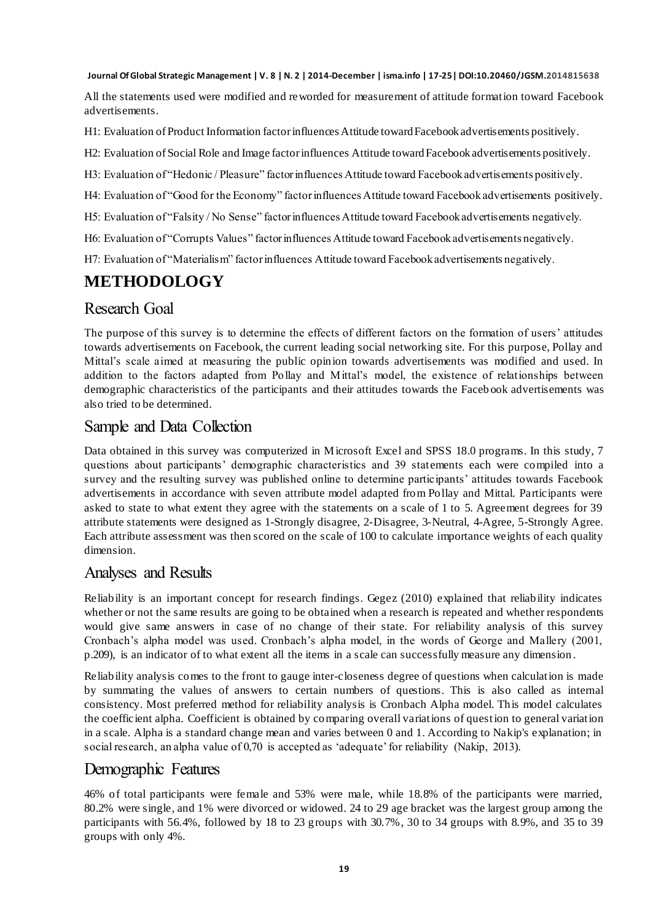All the statements used were modified and reworded for measurement of attitude formation toward Facebook advertisements.

H1: Evaluation of Product Information factor influences Attitude toward Facebook advertisements positively.

H2: Evaluation of Social Role and Image factor influences Attitude toward Facebook advertisements positively.

H3: Evaluation of "Hedonic / Pleasure" factor influences Attitude toward Facebook advertisements positively.

H4: Evaluation of "Good for the Economy" factor influences Attitude toward Facebook advertisements positively.

H5: Evaluation of "Falsity / No Sense" factor influences Attitude toward Facebook advertisements negatively.

H6: Evaluation of "Corrupts Values" factor influences Attitude toward Facebook advertisements negatively.

H7: Evaluation of "Materialism" factor influences Attitude toward Facebook advertisements negatively.

### **METHODOLOGY**

### Research Goal

The purpose of this survey is to determine the effects of different factors on the formation of users" attitudes towards advertisements on Facebook, the current leading social networking site. For this purpose, Pollay and Mittal"s scale aimed at measuring the public opinion towards advertisements was modified and used. In addition to the factors adapted from Pollay and Mittal"s model, the existence of relationships between demographic characteristics of the participants and their attitudes towards the Faceb ook advertisements was also tried to be determined.

### Sample and Data Collection

Data obtained in this survey was computerized in Microsoft Excel and SPSS 18.0 programs. In this study, 7 questions about participants' demographic characteristics and 39 statements each were compiled into a survey and the resulting survey was published online to determine participants' attitudes towards Facebook advertisements in accordance with seven attribute model adapted from Pollay and Mittal. Participants were asked to state to what extent they agree with the statements on a scale of 1 to 5. Agreement degrees for 39 attribute statements were designed as 1-Strongly disagree, 2-Disagree, 3-Neutral, 4-Agree, 5-Strongly Agree. Each attribute assessment was then scored on the scale of 100 to calculate importance weights of each quality dimension.

#### Analyses and Results

Reliability is an important concept for research findings. Gegez (2010) explained that reliability indicates whether or not the same results are going to be obtained when a research is repeated and whether respondents would give same answers in case of no change of their state. For reliability analysis of this survey Cronbach"s alpha model was used. Cronbach"s alpha model, in the words of George and Mallery (2001, p.209), is an indicator of to what extent all the items in a scale can successfully measure any dimension .

Reliability analysis comes to the front to gauge inter-closeness degree of questions when calculation is made by summating the values of answers to certain numbers of questions. This is also called as internal consistency. Most preferred method for reliability analysis is Cronbach Alpha model. This model calculates the coefficient alpha. Coefficient is obtained by comparing overall variations of question to general variation in a scale. Alpha is a standard change mean and varies between 0 and 1. According to Nakip's explanation; in social research, an alpha value of 0,70 is accepted as 'adequate' for reliability (Nakip, 2013).

#### Demographic Features

46% of total participants were female and 53% were male, while 18.8% of the participants were married, 80.2% were single, and 1% were divorced or widowed. 24 to 29 age bracket was the largest group among the participants with 56.4%, followed by 18 to 23 groups with 30.7%, 30 to 34 groups with 8.9%, and 35 to 39 groups with only 4%.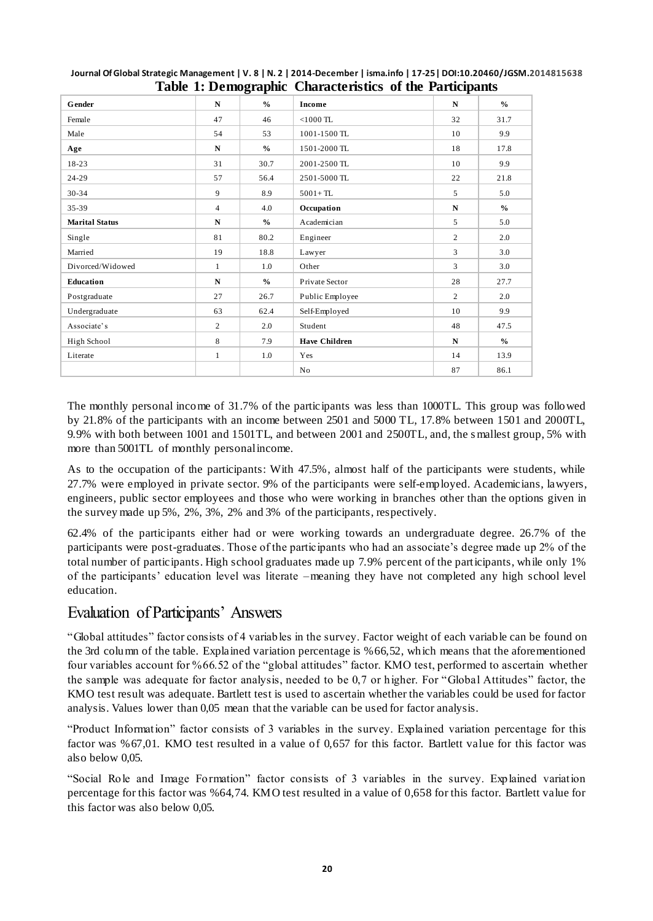|                       |                | 8- T          |                      |                |               |
|-----------------------|----------------|---------------|----------------------|----------------|---------------|
| <b>Gender</b>         | ${\bf N}$      | $\frac{0}{0}$ | Income               | N              | $\frac{0}{0}$ |
| Female                | 47             | 46            | $<$ 1000 TL          | 32             | 31.7          |
| Male                  | 54             | 53            | 1001-1500 TL         | 10             | 9.9           |
| Age                   | N              | $\frac{0}{0}$ | 1501-2000 TL         | 18             | 17.8          |
| $18-23$               | 31             | 30.7          | 2001-2500 TL         | 10             | 9.9           |
| 24-29                 | 57             | 56.4          | 2501-5000 TL         | 22             | 21.8          |
| 30-34                 | 9              | 8.9           | $5001 + T L$         | $\mathfrak{F}$ | 5.0           |
| 35-39                 | $\overline{4}$ | 4.0           | Occupation           | ${\bf N}$      | $\frac{0}{0}$ |
| <b>Marital Status</b> | N              | $\frac{1}{2}$ | Academician          | 5              | 5.0           |
| Single                | 81             | 80.2          | Engineer             | $\overline{c}$ | 2.0           |
| Married               | 19             | 18.8          | Lawyer               | 3              | 3.0           |
| Divorced/Widowed      | $\mathbf{1}$   | 1.0           | Other                | 3              | 3.0           |
| Education             | N              | $\frac{0}{0}$ | Private Sector       | 28             | 27.7          |
| Postgraduate          | 27             | 26.7          | Public Employee      | $\overline{2}$ | 2.0           |
| Undergraduate         | 63             | 62.4          | Self-Employed        | 10             | 9.9           |
| Associate's           | $\overline{2}$ | 2.0           | Student              | 48             | 47.5          |
| High School           | 8              | 7.9           | <b>Have Children</b> | N              | $\frac{0}{0}$ |
| Literate              | 1              | 1.0           | Yes                  | 14             | 13.9          |
|                       |                |               | No                   | 87             | 86.1          |

#### **Journal Of Global Strategic Management | V. 8 | N. 2 | 2014-December | isma.info | 17-25| DOI:10.20460/JGSM.2014815638 Table 1: Demographic Characteristics of the Participants**

The monthly personal income of 31.7% of the participants was less than 1000TL. This group was followed by 21.8% of the participants with an income between 2501 and 5000 TL, 17.8% between 1501 and 2000TL, 9.9% with both between 1001 and 1501TL, and between 2001 and 2500TL, and, the s mallest group, 5% with more than 5001TL of monthly personal income.

As to the occupation of the participants: With 47.5%, almost half of the participants were students, while 27.7% were employed in private sector. 9% of the participants were self-employed. Academicians, lawyers, engineers, public sector employees and those who were working in branches other than the options given in the survey made up 5%, 2%, 3%, 2% and 3% of the participants, respectively.

62.4% of the participants either had or were working towards an undergraduate degree. 26.7% of the participants were post-graduates. Those of the participants who had an associate's degree made up 2% of the total number of participants. High school graduates made up 7.9% percent of the participants, while only 1% of the participants" education level was literate –meaning they have not completed any high school level education.

### Evaluation of Participants" Answers

"Global attitudes" factor consists of 4 variables in the survey. Factor weight of each variable can be found on the 3rd column of the table. Explained variation percentage is %66,52, which means that the aforementioned four variables account for %66.52 of the "global attitudes" factor. KMO test, performed to ascertain whether the sample was adequate for factor analysis, needed to be 0,7 or higher. For "Global Attitudes" factor, the KMO test result was adequate. Bartlett test is used to ascertain whether the variables could be used for factor analysis. Values lower than 0,05 mean that the variable can be used for factor analysis.

"Product Information" factor consists of 3 variables in the survey. Explained variation percentage for this factor was %67,01. KMO test resulted in a value of 0,657 for this factor. Bartlett value for this factor was also below 0,05.

"Social Role and Image Formation" factor consists of 3 variables in the survey. Explained variation percentage for this factor was %64,74. KMO test resulted in a value of 0,658 for this factor. Bartlett value for this factor was also below 0,05.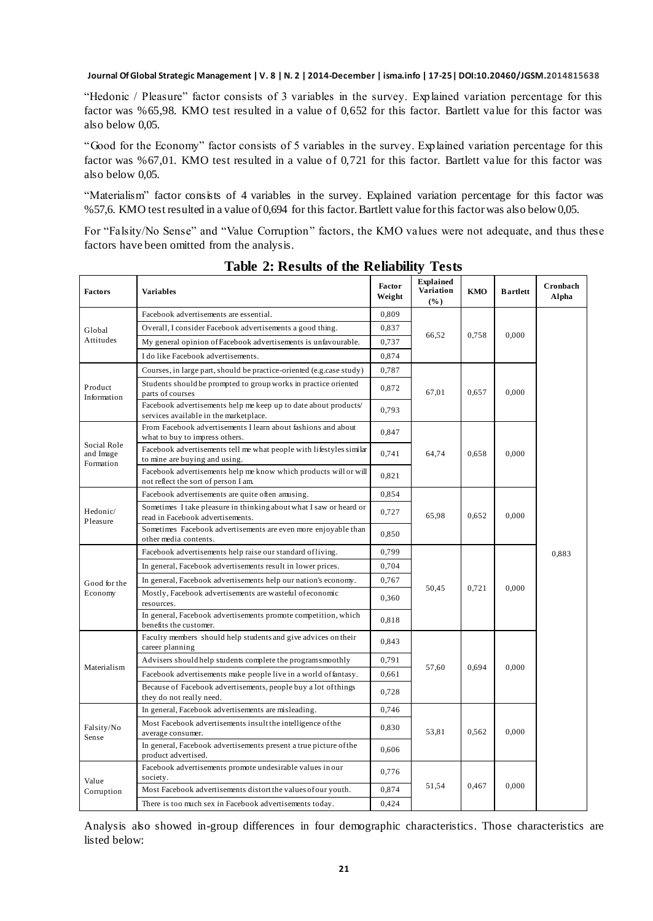"Hedonic / Pleasure" factor consists of 3 variables in the survey. Explained variation percentage for this factor was %65,98. KMO test resulted in a value of 0,652 for this factor. Bartlett value for this factor was also below 0,05.

"Good for the Economy" factor consists of 5 variables in the survey. Explained variation percentage for this factor was %67,01. KMO test resulted in a value of 0,721 for this factor. Bartlett value for this factor was also below 0,05.

"Materialism" factor consists of 4 variables in the survey. Explained variation percentage for this factor was %57,6. KMO test resulted in a value of 0,694 for this factor. Bartlett value for this factor was also below 0,05.

For "Falsity/No Sense" and "Value Corruption" factors, the KMO values were not adequate, and thus these factors have been omitted from the analysis.

| <b>Factors</b>                        | <b>Variables</b>                                                                                          | Factor<br>Weight | <b>Explained</b><br>Variation<br>(%) | KMO   | <b>B</b> artlett | Cronbach<br>Alpha |
|---------------------------------------|-----------------------------------------------------------------------------------------------------------|------------------|--------------------------------------|-------|------------------|-------------------|
|                                       | Facebook advertisements are essential.                                                                    | 0,809            |                                      | 0,758 | 0.000            |                   |
| Global                                | Overall, I consider Facebook advertisements a good thing.                                                 | 0,837            |                                      |       |                  |                   |
| Attitudes                             | My general opinion of Facebook advertisements is unfavourable.                                            | 0,737            | 66,52                                |       |                  |                   |
|                                       | I do like Facebook advertisements.                                                                        | 0,874            |                                      |       |                  |                   |
|                                       | Courses, in large part, should be practice-oriented (e.g.case study)                                      | 0,787            |                                      |       |                  |                   |
| Product<br>Information                | Students should be prompted to group works in practice oriented<br>parts of courses                       | 0,872            | 67,01                                | 0,657 | 0,000            |                   |
|                                       | Facebook advertisements help me keep up to date about products/<br>services available in the marketplace. | 0,793            |                                      |       |                  |                   |
|                                       | From Facebook advertisements I learn about fashions and about<br>what to buy to impress others.           | 0,847            |                                      |       |                  |                   |
| Social Role<br>and Image<br>Formation | Facebook advertisements tell me what people with lifestyles similar<br>to mine are buying and using.      | 0,741            | 64,74                                | 0,658 | 0,000            |                   |
|                                       | Facebook advertisements help me know which products will or will<br>not reflect the sort of person I am.  | 0,821            |                                      |       |                  |                   |
|                                       | Facebook advertisements are quite often amusing.                                                          | 0,854            |                                      |       |                  |                   |
| Hedonic/<br>Pleasure                  | Sometimes I take pleasure in thinking about what I saw or heard or<br>read in Facebook advertisements.    | 0,727            | 65.98                                | 0.652 | 0.000            |                   |
|                                       | Sometimes Facebook advertisements are even more enjoyable than<br>other media contents.                   | 0,850            |                                      |       |                  |                   |
|                                       | Facebook advertisements help raise our standard of living.                                                |                  |                                      |       |                  | 0.883             |
|                                       | In general, Facebook advertisements result in lower prices.                                               | 0,704            | 0.721<br>50.45                       |       | 0.000            |                   |
| Good for the                          | In general, Facebook advertisements help our nation's economy.                                            | 0,767            |                                      |       |                  |                   |
| Economy                               | Mostly, Facebook advertisements are wasteful of economic<br>resources.                                    | 0,360            |                                      |       |                  |                   |
|                                       | In general, Facebook advertisements promote competition, which<br>benefits the customer.                  | 0,818            |                                      |       |                  |                   |
|                                       | Faculty members should help students and give advices on their<br>career planning                         |                  |                                      |       |                  |                   |
| Materialism                           | Advisers should help students complete the program smoothly                                               | 0,791            | 57.60                                | 0,694 | 0.000            |                   |
|                                       | Facebook advertisements make people live in a world of fantasy.                                           | 0,661            |                                      |       |                  |                   |
|                                       | Because of Facebook advertisements, people buy a lot of things<br>they do not really need.                | 0,728            |                                      |       |                  |                   |
|                                       | In general, Facebook advertisements are misleading.                                                       | 0,746            |                                      |       |                  |                   |
| Falsity/No<br>Sense                   | Most Facebook advertisements insult the intelligence of the<br>average consumer.                          | 0,830            | 53,81                                | 0,562 | 0,000            |                   |
|                                       | In general, Facebook advertisements present a true picture of the<br>product advertised.                  | 0,606            |                                      |       |                  |                   |
| Value                                 | Facebook advertisements promote undesirable values in our<br>society.                                     | 0,776            |                                      |       |                  |                   |
| Corruption                            | Most Facebook advertisements distort the values of our youth.                                             | 0,874            | 51,54<br>0,467                       |       | 0,000            |                   |
|                                       | There is too much sex in Facebook advertisements today.                                                   | 0.424            |                                      |       |                  |                   |

**Table 2: Results of the Reliability Tests**

Analysis also showed in-group differences in four demographic characteristics. Those characteristics are listed below: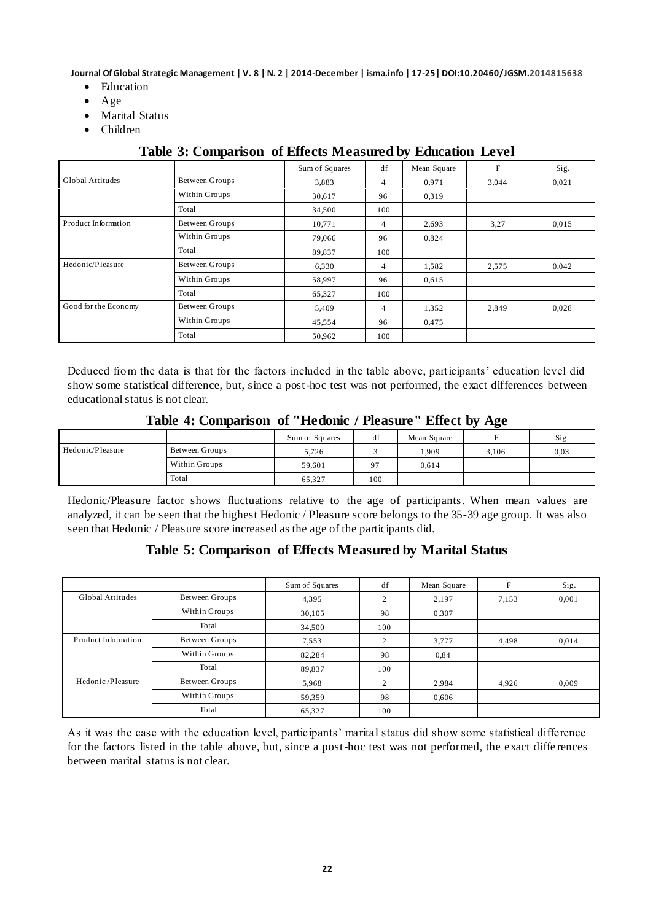- Education
- Age
- Marital Status
- Children

|                      |                       | Sum of Squares | df             | Mean Square | F     | Sig.  |
|----------------------|-----------------------|----------------|----------------|-------------|-------|-------|
| Global Attitudes     | Between Groups        | 3,883          | $\overline{4}$ | 0.971       | 3,044 | 0,021 |
|                      | Within Groups         | 30,617         | 96             | 0.319       |       |       |
|                      | Total                 | 34,500         | 100            |             |       |       |
| Product Information  | Between Groups        | 10,771         | 4              | 2,693       | 3,27  | 0,015 |
|                      | Within Groups         | 79,066         | 96             | 0,824       |       |       |
|                      | Total                 | 89,837         | 100            |             |       |       |
| Hedonic/Pleasure     | Between Groups        | 6,330          | $\overline{4}$ | 1,582       | 2,575 | 0.042 |
|                      | Within Groups         | 58,997         | 96             | 0,615       |       |       |
|                      | Total                 | 65,327         | 100            |             |       |       |
| Good for the Economy | <b>Between Groups</b> | 5,409          | $\overline{4}$ | 1,352       | 2,849 | 0,028 |
|                      | Within Groups         | 45,554         | 96             | 0,475       |       |       |
|                      | Total                 | 50,962         | 100            |             |       |       |

#### **Table 3: Comparison of Effects Measured by Education Level**

Deduced from the data is that for the factors included in the table above, participants" education level did show some statistical difference, but, since a post-hoc test was not performed, the exact differences between educational status is not clear.

|                  |                | Sum of Squares | df             | Mean Square |       | Sig. |
|------------------|----------------|----------------|----------------|-------------|-------|------|
| Hedonic/Pleasure | Between Groups | 5.726          |                | .909        | 3.106 | 0,03 |
|                  | Within Groups  | 59,601         | Q <sub>7</sub> | 0.614       |       |      |
|                  | Total          | 65.327         | 100            |             |       |      |

Hedonic/Pleasure factor shows fluctuations relative to the age of participants. When mean values are analyzed, it can be seen that the highest Hedonic / Pleasure score belongs to the 35-39 age group. It was also seen that Hedonic / Pleasure score increased as the age of the participants did.

#### **Table 5: Comparison of Effects Measured by Marital Status**

|                         |                | Sum of Squares | df             | Mean Square | F     | Sig.  |
|-------------------------|----------------|----------------|----------------|-------------|-------|-------|
| <b>Global Attitudes</b> | Between Groups | 4,395          | 2              | 2,197       | 7,153 | 0,001 |
|                         | Within Groups  | 30.105         | 98             | 0.307       |       |       |
|                         | Total          | 34.500         | 100            |             |       |       |
| Product Information     | Between Groups | 7,553          | $\overline{c}$ | 3,777       | 4.498 | 0.014 |
|                         | Within Groups  | 82,284         | 98             | 0,84        |       |       |
|                         | Total          | 89,837         | 100            |             |       |       |
| Hedonic/Pleasure        | Between Groups | 5,968          | 2              | 2,984       | 4,926 | 0,009 |
|                         | Within Groups  | 59,359         | 98             | 0.606       |       |       |
|                         | Total          | 65,327         | 100            |             |       |       |

As it was the case with the education level, participants' marital status did show some statistical difference for the factors listed in the table above, but, since a post-hoc test was not performed, the exact diffe rences between marital status is not clear.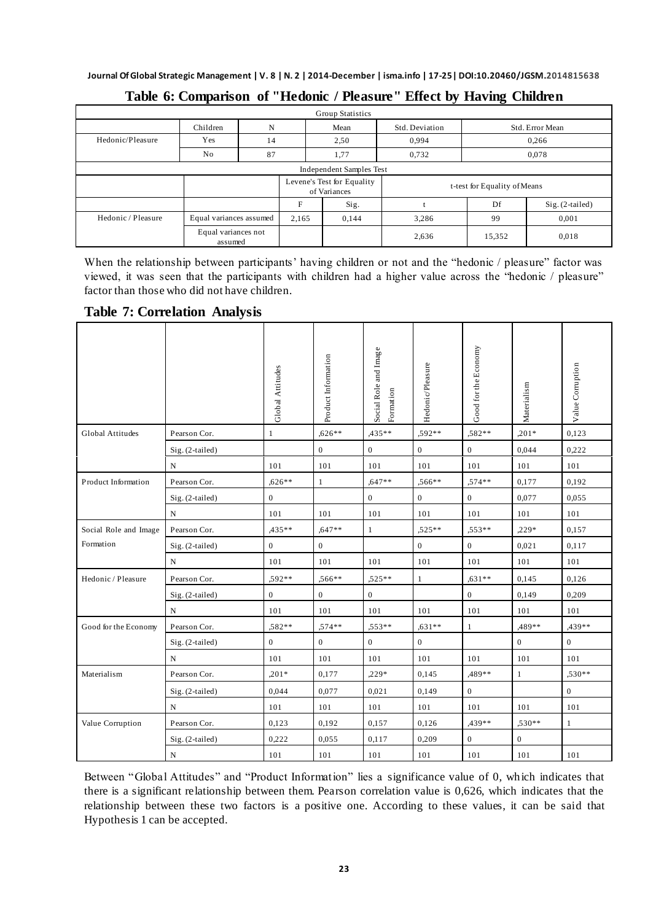| Group Statistics   |                          |                                         |       |                                            |                       |                              |       |  |  |
|--------------------|--------------------------|-----------------------------------------|-------|--------------------------------------------|-----------------------|------------------------------|-------|--|--|
|                    | Children                 | N                                       |       | Mean                                       | Std. Deviation        | Std. Error Mean              |       |  |  |
| Hedonic/Pleasure   | Yes                      | 14                                      |       | 2.50                                       | 0.994                 | 0,266                        |       |  |  |
|                    | No                       | 87                                      |       | 1,77                                       | 0,732                 | 0,078                        |       |  |  |
|                    | Independent Samples Test |                                         |       |                                            |                       |                              |       |  |  |
|                    |                          |                                         |       | Levene's Test for Equality<br>of Variances |                       | t-test for Equality of Means |       |  |  |
|                    |                          |                                         | F     | Sig.                                       | Df<br>Sig. (2-tailed) |                              |       |  |  |
| Hedonic / Pleasure | Equal variances assumed  |                                         | 2,165 | 0,144                                      | 3,286                 | 99                           | 0,001 |  |  |
|                    |                          | Equal variances not<br>2,636<br>assumed |       |                                            | 15,352                | 0,018                        |       |  |  |

#### **Table 6: Comparison of "Hedonic / Pleasure" Effect by Having Children**

When the relationship between participants' having children or not and the "hedonic / pleasure" factor was viewed, it was seen that the participants with children had a higher value across the "hedonic / pleasure" factor than those who did not have children.

**Table 7: Correlation Analysis**

|                       |                   | Global Attitudes | Product Information | Social Role and Image<br>Formation | Hedonic/Pleasure | Good for the Economy | Materialism  | Value Corruption |
|-----------------------|-------------------|------------------|---------------------|------------------------------------|------------------|----------------------|--------------|------------------|
| Global Attitudes      | Pearson Cor.      | $\mathbf{1}$     | $.626**$            | $.435**$                           | .592**           | .582**               | $,201*$      | 0,123            |
|                       | $Sig. (2-tailed)$ |                  | $\boldsymbol{0}$    | $\mathbf{0}$                       | $\overline{0}$   | $\boldsymbol{0}$     | 0,044        | 0,222            |
|                       | N                 | 101              | 101                 | 101                                | 101              | 101                  | 101          | 101              |
| Product Information   | Pearson Cor.      | $,626**$         | $\mathbf{1}$        | $.647**$                           | .566**           | ,574**               | 0,177        | 0,192            |
|                       | $Sig. (2-tailed)$ | $\mathbf{0}$     |                     | $\mathbf{0}$                       | $\overline{0}$   | $\overline{0}$       | 0,077        | 0,055            |
|                       | N                 | 101              | 101                 | 101                                | 101              | 101                  | 101          | 101              |
| Social Role and Image | Pearson Cor.      | ,435**           | $,647**$            | $\mathbf{1}$                       | $.525**$         | ,553**               | $,229*$      | 0,157            |
| Formation             | $Sig. (2-tailed)$ | $\overline{0}$   | $\overline{0}$      |                                    | $\overline{0}$   | $\overline{0}$       | 0,021        | 0,117            |
|                       | N                 | 101              | 101                 | 101                                | 101              | 101                  | 101          | 101              |
| Hedonic / Pleasure    | Pearson Cor.      | .592**           | $,566**$            | $.525**$                           | 1                | $.631**$             | 0,145        | 0,126            |
|                       | Sig. (2-tailed)   | $\overline{0}$   | $\boldsymbol{0}$    | $\mathbf{0}$                       |                  | $\overline{0}$       | 0,149        | 0,209            |
|                       | N                 | 101              | 101                 | 101                                | 101              | 101                  | 101          | 101              |
| Good for the Economy  | Pearson Cor.      | $.582**$         | $.574**$            | $.553**$                           | $.631**$         | $\mathbf{1}$         | ,489**       | .439**           |
|                       | $Sig. (2-tailed)$ | $\overline{0}$   | $\boldsymbol{0}$    | $\overline{0}$                     | $\mathbf{0}$     |                      | $\mathbf{0}$ | $\overline{0}$   |
|                       | N                 | 101              | 101                 | 101                                | 101              | 101                  | 101          | 101              |
| Materialism           | Pearson Cor.      | $,201*$          | 0,177               | $.229*$                            | 0,145            | ,489**               | $\mathbf{1}$ | $.530**$         |
|                       | Sig. (2-tailed)   | 0,044            | 0,077               | 0,021                              | 0,149            | $\overline{0}$       |              | $\overline{0}$   |
|                       | N                 | 101              | 101                 | 101                                | 101              | 101                  | 101          | 101              |
| Value Corruption      | Pearson Cor.      | 0,123            | 0,192               | 0.157                              | 0,126            | ,439**               | $.530**$     | 1                |
|                       | Sig. (2-tailed)   | 0,222            | 0,055               | 0,117                              | 0,209            | $\overline{0}$       | $\mathbf{0}$ |                  |
|                       | $\mathbf N$       | 101              | 101                 | 101                                | 101              | 101                  | 101          | 101              |

Between "Global Attitudes" and "Product Information" lies a significance value of 0, which indicates that there is a significant relationship between them. Pearson correlation value is 0,626, which indicates that the relationship between these two factors is a positive one. According to these values, it can be said that Hypothesis 1 can be accepted.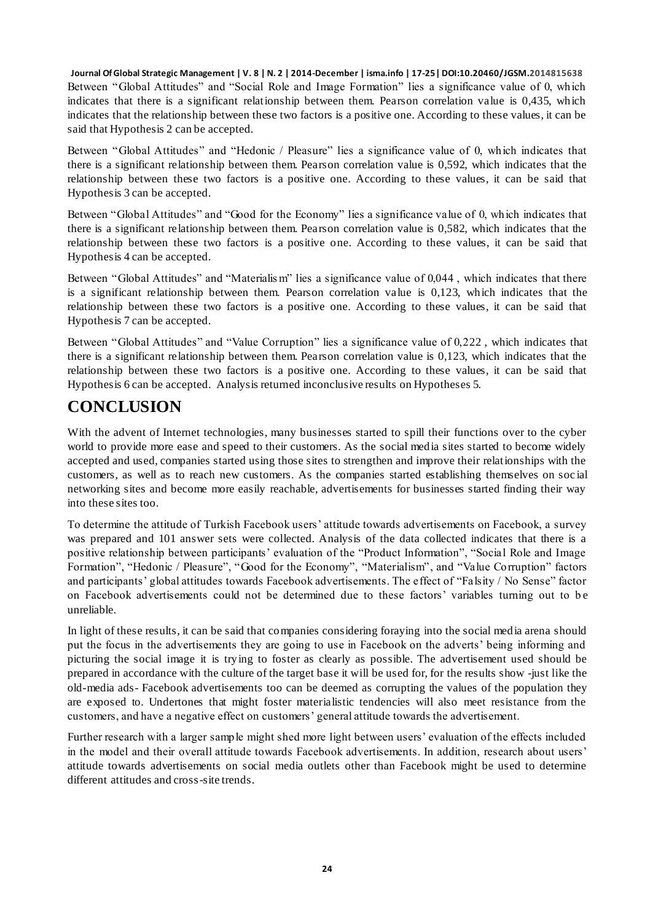**Journal Of Global Strategic Management | V. 8 | N. 2 | 2014-December | isma.info | 17-25| DOI:10.20460/JGSM.2014815638** Between "Global Attitudes" and "Social Role and Image Formation" lies a significance value of 0, which indicates that there is a significant relationship between them. Pearson correlation value is 0,435, which indicates that the relationship between these two factors is a positive one. According to these values, it can be said that Hypothesis 2 can be accepted.

Between "Global Attitudes" and "Hedonic / Pleasure" lies a significance value of 0, which indicates that there is a significant relationship between them. Pearson correlation value is 0,592, which indicates that the relationship between these two factors is a positive one. According to these values, it can be said that Hypothesis 3 can be accepted.

Between "Global Attitudes" and "Good for the Economy" lies a significance value of 0, which indicates that there is a significant relationship between them. Pearson correlation value is 0,582, which indicates that the relationship between these two factors is a positive one. According to these values, it can be said that Hypothesis 4 can be accepted.

Between "Global Attitudes" and "Materialis m" lies a significance value of 0,044 , which indicates that there is a significant relationship between them. Pearson correlation value is 0,123, which indicates that the relationship between these two factors is a positive one. According to these values, it can be said that Hypothesis 7 can be accepted.

Between "Global Attitudes" and "Value Corruption" lies a significance value of 0,222 , which indicates that there is a significant relationship between them. Pearson correlation value is 0,123, which indicates that the relationship between these two factors is a positive one. According to these values, it can be said that Hypothesis 6 can be accepted. Analysis returned inconclusive results on Hypotheses 5.

# **CONCLUSION**

With the advent of Internet technologies, many businesses started to spill their functions over to the cyber world to provide more ease and speed to their customers. As the social media sites started to become widely accepted and used, companies started using those sites to strengthen and improve their relationships with the customers, as well as to reach new customers. As the companies started establishing themselves on soc ial networking sites and become more easily reachable, advertisements for businesses started finding their way into these sites too.

To determine the attitude of Turkish Facebook users" attitude towards advertisements on Facebook, a survey was prepared and 101 answer sets were collected. Analysis of the data collected indicates that there is a positive relationship between participants" evaluation of the "Product Information", "Social Role and Image Formation", "Hedonic / Pleasure", "Good for the Economy", "Materialism", and "Value Corruption" factors and participants' global attitudes towards Facebook advertisements. The effect of "Falsity / No Sense" factor on Facebook advertisements could not be determined due to these factors' variables turning out to be unreliable.

In light of these results, it can be said that companies considering foraying into the social media arena should put the focus in the advertisements they are going to use in Facebook on the adverts" being informing and picturing the social image it is trying to foster as clearly as possible. The advertisement used should be prepared in accordance with the culture of the target base it will be used for, for the results show -just like the old-media ads- Facebook advertisements too can be deemed as corrupting the values of the population they are exposed to. Undertones that might foster materialistic tendencies will also meet resistance from the customers, and have a negative effect on customers" general attitude towards the advertisement.

Further research with a larger sample might shed more light between users" evaluation of the effects included in the model and their overall attitude towards Facebook advertisements. In addition, research about users" attitude towards advertisements on social media outlets other than Facebook might be used to determine different attitudes and cross-site trends.